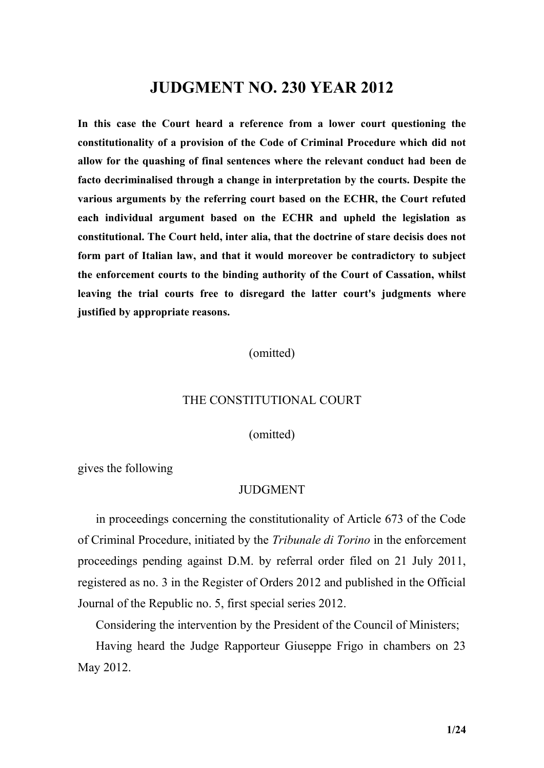# **JUDGMENT NO. 230 YEAR 2012**

**In this case the Court heard a reference from a lower court questioning the constitutionality of a provision of the Code of Criminal Procedure which did not allow for the quashing of final sentences where the relevant conduct had been de facto decriminalised through a change in interpretation by the courts. Despite the various arguments by the referring court based on the ECHR, the Court refuted each individual argument based on the ECHR and upheld the legislation as constitutional. The Court held, inter alia, that the doctrine of stare decisis does not form part of Italian law, and that it would moreover be contradictory to subject the enforcement courts to the binding authority of the Court of Cassation, whilst leaving the trial courts free to disregard the latter court's judgments where justified by appropriate reasons.**

(omitted)

#### THE CONSTITUTIONAL COURT

(omitted)

gives the following

# **JUDGMENT**

in proceedings concerning the constitutionality of Article 673 of the Code of Criminal Procedure, initiated by the *Tribunale di Torino* in the enforcement proceedings pending against D.M. by referral order filed on 21 July 2011, registered as no. 3 in the Register of Orders 2012 and published in the Official Journal of the Republic no. 5, first special series 2012.

Considering the intervention by the President of the Council of Ministers;

Having heard the Judge Rapporteur Giuseppe Frigo in chambers on 23 May 2012.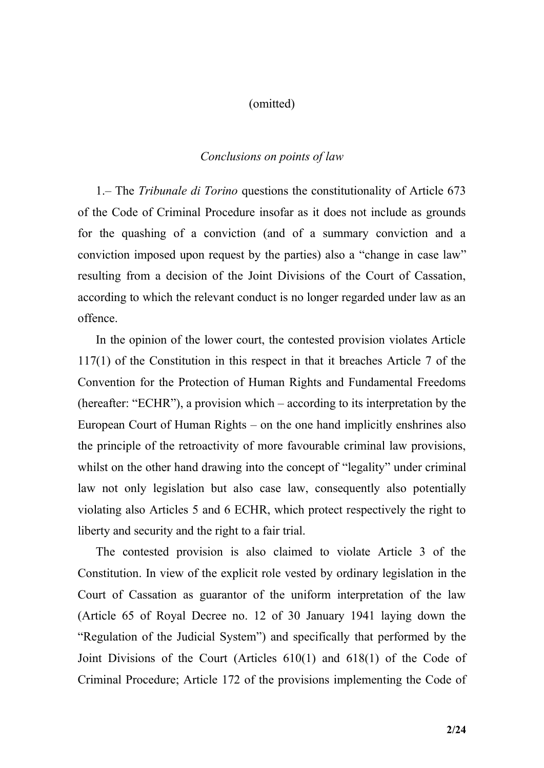#### (omitted)

# *Conclusions on points of law*

1.– The *Tribunale di Torino* questions the constitutionality of Article 673 of the Code of Criminal Procedure insofar as it does not include as grounds for the quashing of a conviction (and of a summary conviction and a conviction imposed upon request by the parties) also a "change in case law" resulting from a decision of the Joint Divisions of the Court of Cassation, according to which the relevant conduct is no longer regarded under law as an offence.

In the opinion of the lower court, the contested provision violates Article 117(1) of the Constitution in this respect in that it breaches Article 7 of the Convention for the Protection of Human Rights and Fundamental Freedoms (hereafter: "ECHR"), a provision which – according to its interpretation by the European Court of Human Rights – on the one hand implicitly enshrines also the principle of the retroactivity of more favourable criminal law provisions, whilst on the other hand drawing into the concept of "legality" under criminal law not only legislation but also case law, consequently also potentially violating also Articles 5 and 6 ECHR, which protect respectively the right to liberty and security and the right to a fair trial.

The contested provision is also claimed to violate Article 3 of the Constitution. In view of the explicit role vested by ordinary legislation in the Court of Cassation as guarantor of the uniform interpretation of the law (Article 65 of Royal Decree no. 12 of 30 January 1941 laying down the "Regulation of the Judicial System") and specifically that performed by the Joint Divisions of the Court (Articles 610(1) and 618(1) of the Code of Criminal Procedure; Article 172 of the provisions implementing the Code of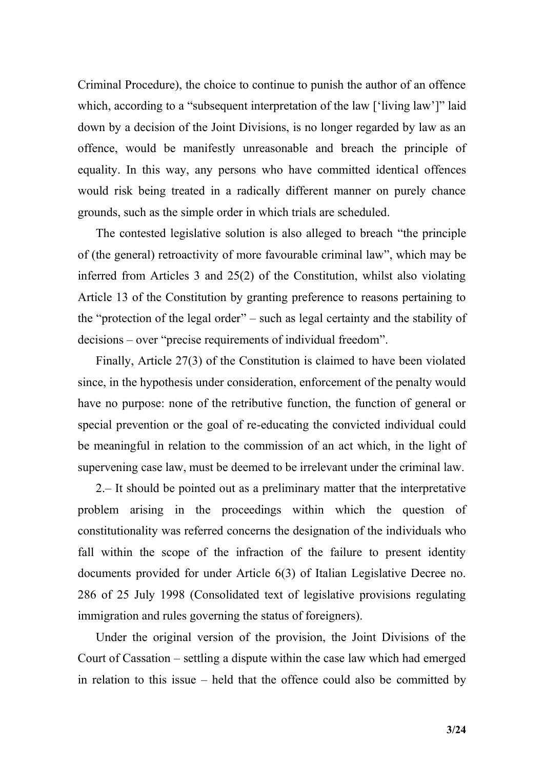Criminal Procedure), the choice to continue to punish the author of an offence which, according to a "subsequent interpretation of the law ['living law']" laid down by a decision of the Joint Divisions, is no longer regarded by law as an offence, would be manifestly unreasonable and breach the principle of equality. In this way, any persons who have committed identical offences would risk being treated in a radically different manner on purely chance grounds, such as the simple order in which trials are scheduled.

The contested legislative solution is also alleged to breach "the principle of (the general) retroactivity of more favourable criminal law", which may be inferred from Articles 3 and 25(2) of the Constitution, whilst also violating Article 13 of the Constitution by granting preference to reasons pertaining to the "protection of the legal order" – such as legal certainty and the stability of decisions – over "precise requirements of individual freedom".

Finally, Article 27(3) of the Constitution is claimed to have been violated since, in the hypothesis under consideration, enforcement of the penalty would have no purpose: none of the retributive function, the function of general or special prevention or the goal of re-educating the convicted individual could be meaningful in relation to the commission of an act which, in the light of supervening case law, must be deemed to be irrelevant under the criminal law.

2.– It should be pointed out as a preliminary matter that the interpretative problem arising in the proceedings within which the question of constitutionality was referred concerns the designation of the individuals who fall within the scope of the infraction of the failure to present identity documents provided for under Article 6(3) of Italian Legislative Decree no. 286 of 25 July 1998 (Consolidated text of legislative provisions regulating immigration and rules governing the status of foreigners).

Under the original version of the provision, the Joint Divisions of the Court of Cassation – settling a dispute within the case law which had emerged in relation to this issue – held that the offence could also be committed by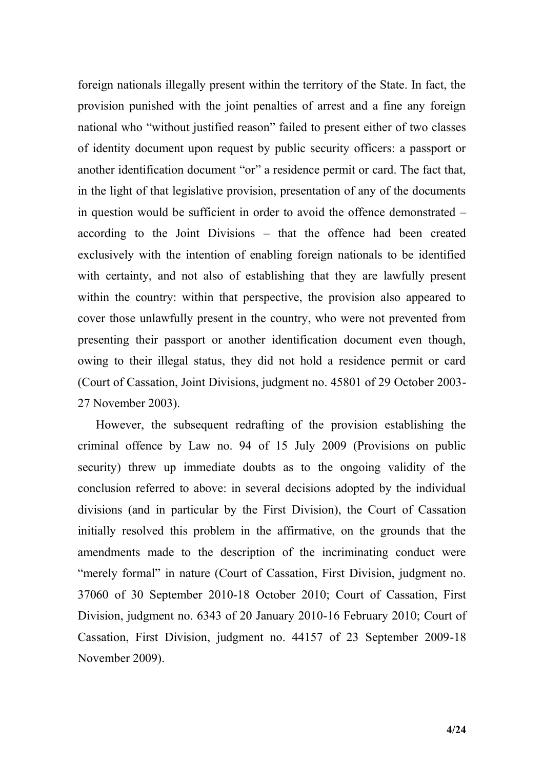foreign nationals illegally present within the territory of the State. In fact, the provision punished with the joint penalties of arrest and a fine any foreign national who "without justified reason" failed to present either of two classes of identity document upon request by public security officers: a passport or another identification document "or" a residence permit or card. The fact that, in the light of that legislative provision, presentation of any of the documents in question would be sufficient in order to avoid the offence demonstrated – according to the Joint Divisions – that the offence had been created exclusively with the intention of enabling foreign nationals to be identified with certainty, and not also of establishing that they are lawfully present within the country: within that perspective, the provision also appeared to cover those unlawfully present in the country, who were not prevented from presenting their passport or another identification document even though, owing to their illegal status, they did not hold a residence permit or card (Court of Cassation, Joint Divisions, judgment no. 45801 of 29 October 2003- 27 November 2003).

However, the subsequent redrafting of the provision establishing the criminal offence by Law no. 94 of 15 July 2009 (Provisions on public security) threw up immediate doubts as to the ongoing validity of the conclusion referred to above: in several decisions adopted by the individual divisions (and in particular by the First Division), the Court of Cassation initially resolved this problem in the affirmative, on the grounds that the amendments made to the description of the incriminating conduct were "merely formal" in nature (Court of Cassation, First Division, judgment no. 37060 of 30 September 2010-18 October 2010; Court of Cassation, First Division, judgment no. 6343 of 20 January 2010-16 February 2010; Court of Cassation, First Division, judgment no. 44157 of 23 September 2009-18 November 2009).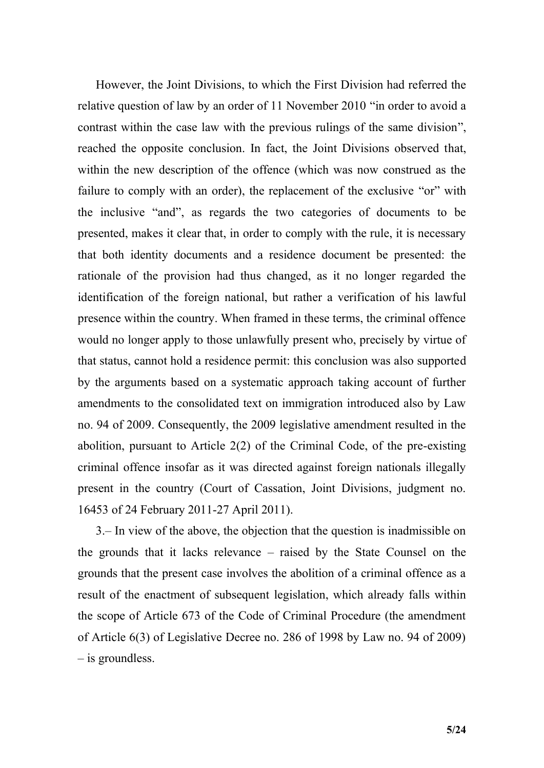However, the Joint Divisions, to which the First Division had referred the relative question of law by an order of 11 November 2010 "in order to avoid a contrast within the case law with the previous rulings of the same division", reached the opposite conclusion. In fact, the Joint Divisions observed that, within the new description of the offence (which was now construed as the failure to comply with an order), the replacement of the exclusive "or" with the inclusive "and", as regards the two categories of documents to be presented, makes it clear that, in order to comply with the rule, it is necessary that both identity documents and a residence document be presented: the rationale of the provision had thus changed, as it no longer regarded the identification of the foreign national, but rather a verification of his lawful presence within the country. When framed in these terms, the criminal offence would no longer apply to those unlawfully present who, precisely by virtue of that status, cannot hold a residence permit: this conclusion was also supported by the arguments based on a systematic approach taking account of further amendments to the consolidated text on immigration introduced also by Law no. 94 of 2009. Consequently, the 2009 legislative amendment resulted in the abolition, pursuant to Article 2(2) of the Criminal Code, of the pre-existing criminal offence insofar as it was directed against foreign nationals illegally present in the country (Court of Cassation, Joint Divisions, judgment no. 16453 of 24 February 2011-27 April 2011).

3.– In view of the above, the objection that the question is inadmissible on the grounds that it lacks relevance – raised by the State Counsel on the grounds that the present case involves the abolition of a criminal offence as a result of the enactment of subsequent legislation, which already falls within the scope of Article 673 of the Code of Criminal Procedure (the amendment of Article 6(3) of Legislative Decree no. 286 of 1998 by Law no. 94 of 2009) – is groundless.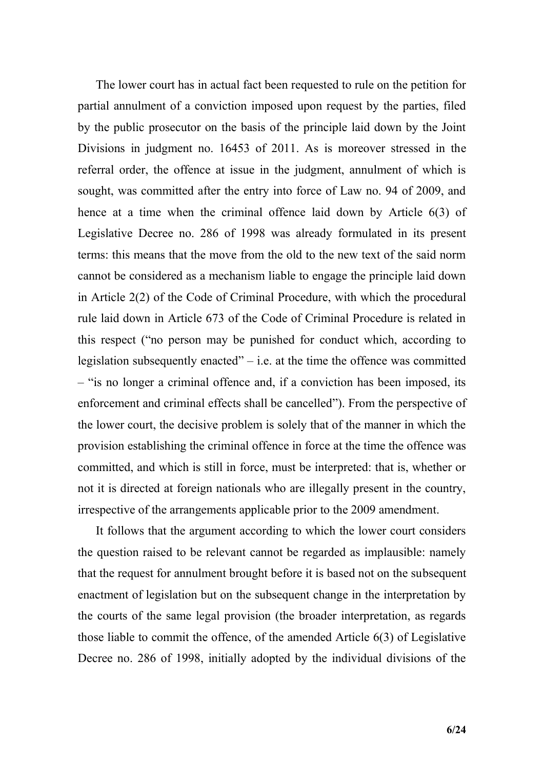The lower court has in actual fact been requested to rule on the petition for partial annulment of a conviction imposed upon request by the parties, filed by the public prosecutor on the basis of the principle laid down by the Joint Divisions in judgment no. 16453 of 2011. As is moreover stressed in the referral order, the offence at issue in the judgment, annulment of which is sought, was committed after the entry into force of Law no. 94 of 2009, and hence at a time when the criminal offence laid down by Article 6(3) of Legislative Decree no. 286 of 1998 was already formulated in its present terms: this means that the move from the old to the new text of the said norm cannot be considered as a mechanism liable to engage the principle laid down in Article 2(2) of the Code of Criminal Procedure, with which the procedural rule laid down in Article 673 of the Code of Criminal Procedure is related in this respect ("no person may be punished for conduct which, according to legislation subsequently enacted" $-$  i.e. at the time the offence was committed – "is no longer a criminal offence and, if a conviction has been imposed, its enforcement and criminal effects shall be cancelled"). From the perspective of the lower court, the decisive problem is solely that of the manner in which the provision establishing the criminal offence in force at the time the offence was committed, and which is still in force, must be interpreted: that is, whether or not it is directed at foreign nationals who are illegally present in the country, irrespective of the arrangements applicable prior to the 2009 amendment.

It follows that the argument according to which the lower court considers the question raised to be relevant cannot be regarded as implausible: namely that the request for annulment brought before it is based not on the subsequent enactment of legislation but on the subsequent change in the interpretation by the courts of the same legal provision (the broader interpretation, as regards those liable to commit the offence, of the amended Article 6(3) of Legislative Decree no. 286 of 1998, initially adopted by the individual divisions of the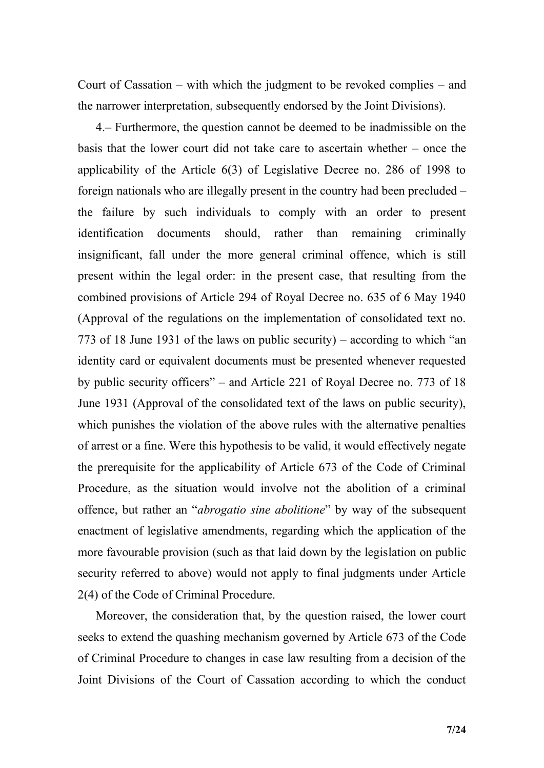Court of Cassation – with which the judgment to be revoked complies – and the narrower interpretation, subsequently endorsed by the Joint Divisions).

4.– Furthermore, the question cannot be deemed to be inadmissible on the basis that the lower court did not take care to ascertain whether – once the applicability of the Article 6(3) of Legislative Decree no. 286 of 1998 to foreign nationals who are illegally present in the country had been precluded – the failure by such individuals to comply with an order to present identification documents should, rather than remaining criminally insignificant, fall under the more general criminal offence, which is still present within the legal order: in the present case, that resulting from the combined provisions of Article 294 of Royal Decree no. 635 of 6 May 1940 (Approval of the regulations on the implementation of consolidated text no. 773 of 18 June 1931 of the laws on public security) – according to which "an identity card or equivalent documents must be presented whenever requested by public security officers" – and Article 221 of Royal Decree no. 773 of 18 June 1931 (Approval of the consolidated text of the laws on public security), which punishes the violation of the above rules with the alternative penalties of arrest or a fine. Were this hypothesis to be valid, it would effectively negate the prerequisite for the applicability of Article 673 of the Code of Criminal Procedure, as the situation would involve not the abolition of a criminal offence, but rather an "*abrogatio sine abolitione*" by way of the subsequent enactment of legislative amendments, regarding which the application of the more favourable provision (such as that laid down by the legislation on public security referred to above) would not apply to final judgments under Article 2(4) of the Code of Criminal Procedure.

Moreover, the consideration that, by the question raised, the lower court seeks to extend the quashing mechanism governed by Article 673 of the Code of Criminal Procedure to changes in case law resulting from a decision of the Joint Divisions of the Court of Cassation according to which the conduct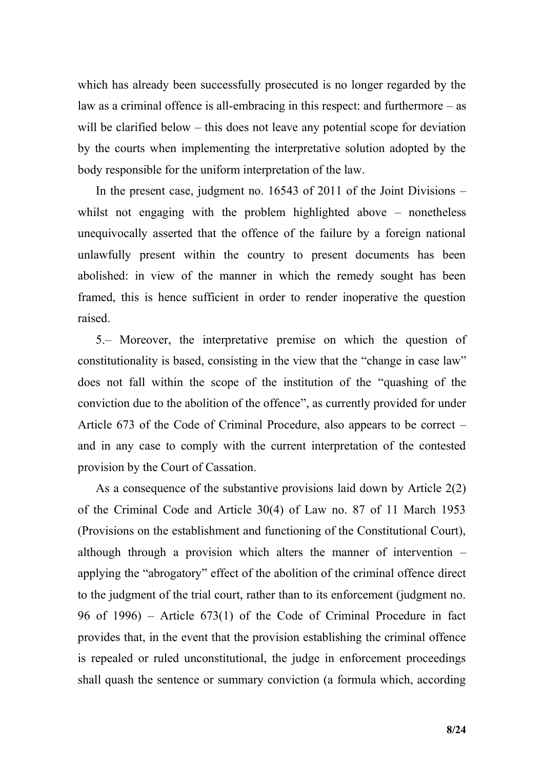which has already been successfully prosecuted is no longer regarded by the law as a criminal offence is all-embracing in this respect: and furthermore – as will be clarified below – this does not leave any potential scope for deviation by the courts when implementing the interpretative solution adopted by the body responsible for the uniform interpretation of the law.

In the present case, judgment no. 16543 of 2011 of the Joint Divisions – whilst not engaging with the problem highlighted above – nonetheless unequivocally asserted that the offence of the failure by a foreign national unlawfully present within the country to present documents has been abolished: in view of the manner in which the remedy sought has been framed, this is hence sufficient in order to render inoperative the question raised.

5.– Moreover, the interpretative premise on which the question of constitutionality is based, consisting in the view that the "change in case law" does not fall within the scope of the institution of the "quashing of the conviction due to the abolition of the offence", as currently provided for under Article 673 of the Code of Criminal Procedure, also appears to be correct – and in any case to comply with the current interpretation of the contested provision by the Court of Cassation.

As a consequence of the substantive provisions laid down by Article 2(2) of the Criminal Code and Article 30(4) of Law no. 87 of 11 March 1953 (Provisions on the establishment and functioning of the Constitutional Court), although through a provision which alters the manner of intervention – applying the "abrogatory" effect of the abolition of the criminal offence direct to the judgment of the trial court, rather than to its enforcement (judgment no. 96 of 1996) – Article 673(1) of the Code of Criminal Procedure in fact provides that, in the event that the provision establishing the criminal offence is repealed or ruled unconstitutional, the judge in enforcement proceedings shall quash the sentence or summary conviction (a formula which, according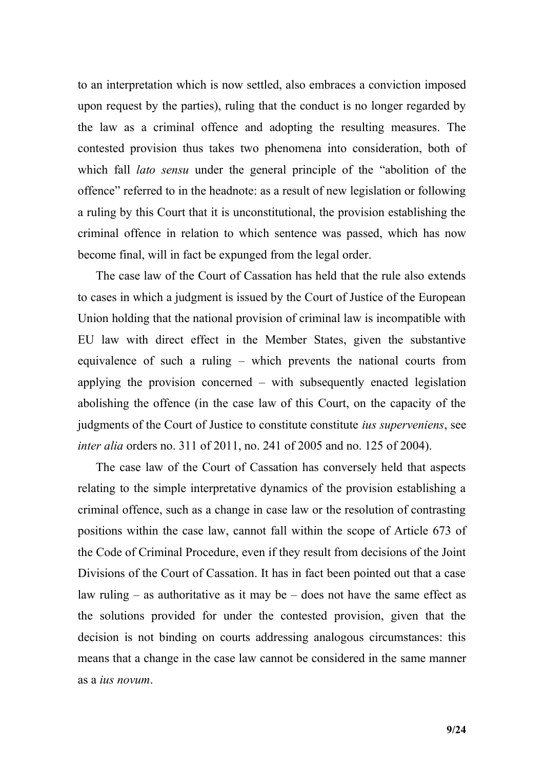to an interpretation which is now settled, also embraces a conviction imposed upon request by the parties), ruling that the conduct is no longer regarded by the law as a criminal offence and adopting the resulting measures. The contested provision thus takes two phenomena into consideration, both of which fall *lato sensu* under the general principle of the "abolition of the offence" referred to in the headnote: as a result of new legislation or following a ruling by this Court that it is unconstitutional, the provision establishing the criminal offence in relation to which sentence was passed, which has now become final, will in fact be expunged from the legal order.

The case law of the Court of Cassation has held that the rule also extends to cases in which a judgment is issued by the Court of Justice of the European Union holding that the national provision of criminal law is incompatible with EU law with direct effect in the Member States, given the substantive equivalence of such a ruling – which prevents the national courts from applying the provision concerned – with subsequently enacted legislation abolishing the offence (in the case law of this Court, on the capacity of the judgments of the Court of Justice to constitute constitute *ius superveniens*, see *inter alia* orders no. 311 of 2011, no. 241 of 2005 and no. 125 of 2004).

The case law of the Court of Cassation has conversely held that aspects relating to the simple interpretative dynamics of the provision establishing a criminal offence, such as a change in case law or the resolution of contrasting positions within the case law, cannot fall within the scope of Article 673 of the Code of Criminal Procedure, even if they result from decisions of the Joint Divisions of the Court of Cassation. It has in fact been pointed out that a case law ruling  $-$  as authoritative as it may be  $-$  does not have the same effect as the solutions provided for under the contested provision, given that the decision is not binding on courts addressing analogous circumstances: this means that a change in the case law cannot be considered in the same manner as a *ius novum*.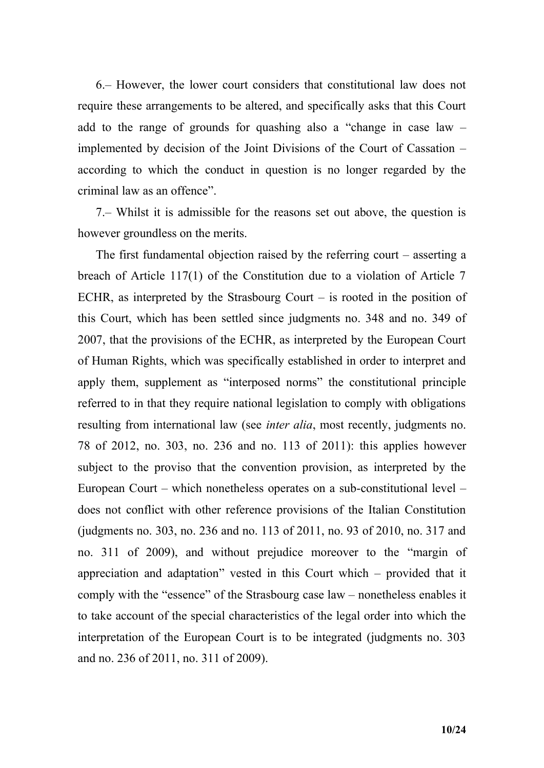6.– However, the lower court considers that constitutional law does not require these arrangements to be altered, and specifically asks that this Court add to the range of grounds for quashing also a "change in case law – implemented by decision of the Joint Divisions of the Court of Cassation – according to which the conduct in question is no longer regarded by the criminal law as an offence".

7.– Whilst it is admissible for the reasons set out above, the question is however groundless on the merits.

The first fundamental objection raised by the referring court – asserting a breach of Article 117(1) of the Constitution due to a violation of Article 7 ECHR, as interpreted by the Strasbourg Court – is rooted in the position of this Court, which has been settled since judgments no. 348 and no. 349 of 2007, that the provisions of the ECHR, as interpreted by the European Court of Human Rights, which was specifically established in order to interpret and apply them, supplement as "interposed norms" the constitutional principle referred to in that they require national legislation to comply with obligations resulting from international law (see *inter alia*, most recently, judgments no. 78 of 2012, no. 303, no. 236 and no. 113 of 2011): this applies however subject to the proviso that the convention provision, as interpreted by the European Court – which nonetheless operates on a sub-constitutional level – does not conflict with other reference provisions of the Italian Constitution (judgments no. 303, no. 236 and no. 113 of 2011, no. 93 of 2010, no. 317 and no. 311 of 2009), and without prejudice moreover to the "margin of appreciation and adaptation" vested in this Court which – provided that it comply with the "essence" of the Strasbourg case law – nonetheless enables it to take account of the special characteristics of the legal order into which the interpretation of the European Court is to be integrated (judgments no. 303 and no. 236 of 2011, no. 311 of 2009).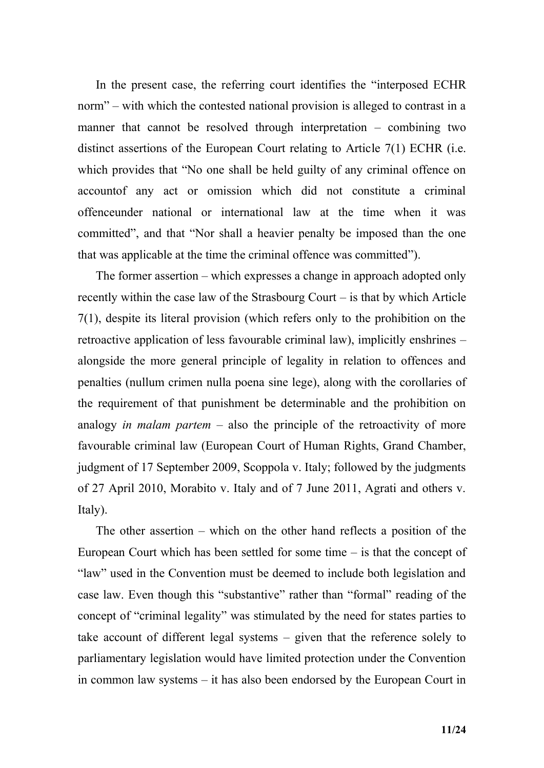In the present case, the referring court identifies the "interposed ECHR norm" – with which the contested national provision is alleged to contrast in a manner that cannot be resolved through interpretation – combining two distinct assertions of the European Court relating to Article 7(1) ECHR (i.e. which provides that "No one shall be held guilty of any criminal offence on accountof any act or omission which did not constitute a criminal offenceunder national or international law at the time when it was committed", and that "Nor shall a heavier penalty be imposed than the one that was applicable at the time the criminal offence was committed").

The former assertion – which expresses a change in approach adopted only recently within the case law of the Strasbourg Court – is that by which Article 7(1), despite its literal provision (which refers only to the prohibition on the retroactive application of less favourable criminal law), implicitly enshrines – alongside the more general principle of legality in relation to offences and penalties (nullum crimen nulla poena sine lege), along with the corollaries of the requirement of that punishment be determinable and the prohibition on analogy *in malam partem* – also the principle of the retroactivity of more favourable criminal law (European Court of Human Rights, Grand Chamber, judgment of 17 September 2009, Scoppola v. Italy; followed by the judgments of 27 April 2010, Morabito v. Italy and of 7 June 2011, Agrati and others v. Italy).

The other assertion – which on the other hand reflects a position of the European Court which has been settled for some time – is that the concept of "law" used in the Convention must be deemed to include both legislation and case law. Even though this "substantive" rather than "formal" reading of the concept of "criminal legality" was stimulated by the need for states parties to take account of different legal systems – given that the reference solely to parliamentary legislation would have limited protection under the Convention in common law systems – it has also been endorsed by the European Court in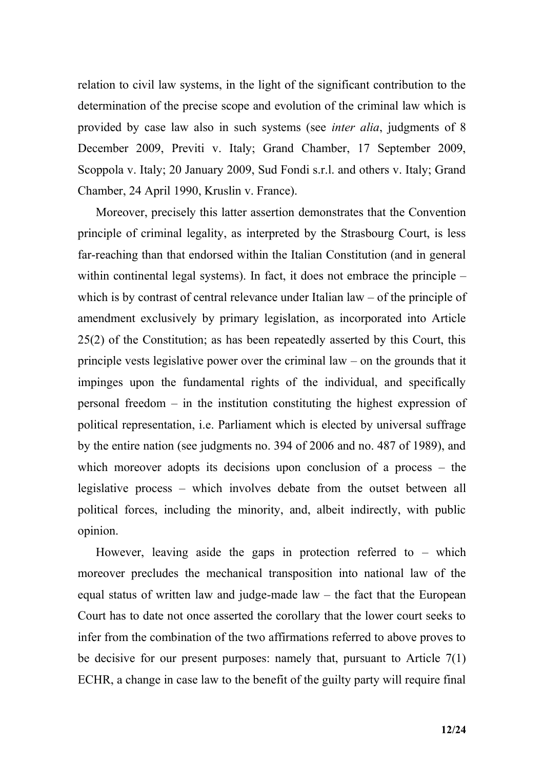relation to civil law systems, in the light of the significant contribution to the determination of the precise scope and evolution of the criminal law which is provided by case law also in such systems (see *inter alia*, judgments of 8 December 2009, Previti v. Italy; Grand Chamber, 17 September 2009, Scoppola v. Italy; 20 January 2009, Sud Fondi s.r.l. and others v. Italy; Grand Chamber, 24 April 1990, Kruslin v. France).

Moreover, precisely this latter assertion demonstrates that the Convention principle of criminal legality, as interpreted by the Strasbourg Court, is less far-reaching than that endorsed within the Italian Constitution (and in general within continental legal systems). In fact, it does not embrace the principle – which is by contrast of central relevance under Italian law – of the principle of amendment exclusively by primary legislation, as incorporated into Article 25(2) of the Constitution; as has been repeatedly asserted by this Court, this principle vests legislative power over the criminal law – on the grounds that it impinges upon the fundamental rights of the individual, and specifically personal freedom – in the institution constituting the highest expression of political representation, i.e. Parliament which is elected by universal suffrage by the entire nation (see judgments no. 394 of 2006 and no. 487 of 1989), and which moreover adopts its decisions upon conclusion of a process – the legislative process – which involves debate from the outset between all political forces, including the minority, and, albeit indirectly, with public opinion.

However, leaving aside the gaps in protection referred to – which moreover precludes the mechanical transposition into national law of the equal status of written law and judge-made law  $-$  the fact that the European Court has to date not once asserted the corollary that the lower court seeks to infer from the combination of the two affirmations referred to above proves to be decisive for our present purposes: namely that, pursuant to Article 7(1) ECHR, a change in case law to the benefit of the guilty party will require final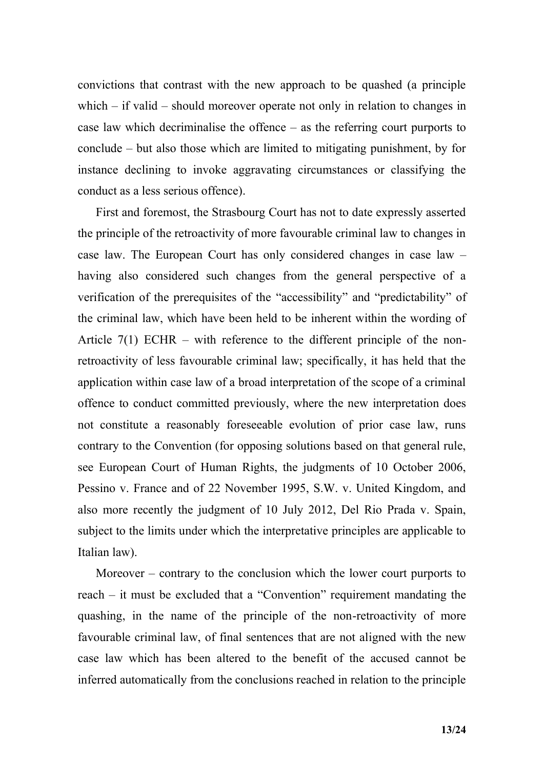convictions that contrast with the new approach to be quashed (a principle which – if valid – should moreover operate not only in relation to changes in case law which decriminalise the offence – as the referring court purports to conclude – but also those which are limited to mitigating punishment, by for instance declining to invoke aggravating circumstances or classifying the conduct as a less serious offence).

First and foremost, the Strasbourg Court has not to date expressly asserted the principle of the retroactivity of more favourable criminal law to changes in case law. The European Court has only considered changes in case law – having also considered such changes from the general perspective of a verification of the prerequisites of the "accessibility" and "predictability" of the criminal law, which have been held to be inherent within the wording of Article  $7(1)$  ECHR – with reference to the different principle of the nonretroactivity of less favourable criminal law; specifically, it has held that the application within case law of a broad interpretation of the scope of a criminal offence to conduct committed previously, where the new interpretation does not constitute a reasonably foreseeable evolution of prior case law, runs contrary to the Convention (for opposing solutions based on that general rule, see European Court of Human Rights, the judgments of 10 October 2006, Pessino v. France and of 22 November 1995, S.W. v. United Kingdom, and also more recently the judgment of 10 July 2012, Del Rio Prada v. Spain, subject to the limits under which the interpretative principles are applicable to Italian law).

Moreover – contrary to the conclusion which the lower court purports to reach – it must be excluded that a "Convention" requirement mandating the quashing, in the name of the principle of the non-retroactivity of more favourable criminal law, of final sentences that are not aligned with the new case law which has been altered to the benefit of the accused cannot be inferred automatically from the conclusions reached in relation to the principle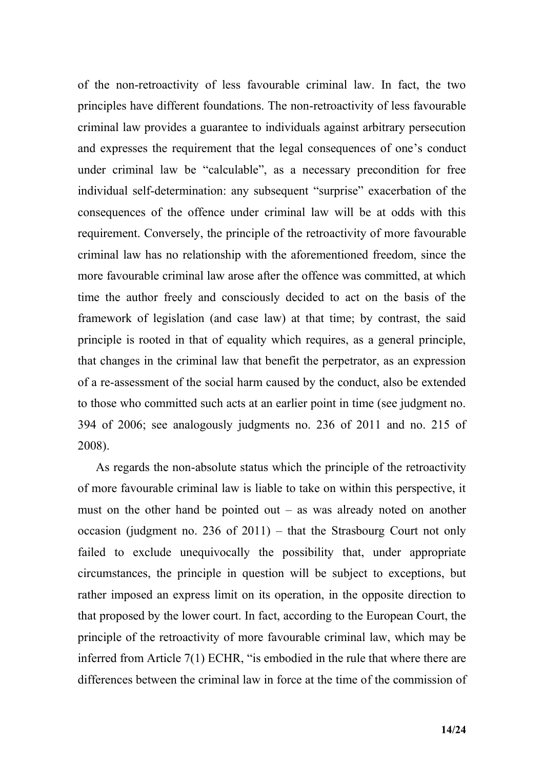of the non-retroactivity of less favourable criminal law. In fact, the two principles have different foundations. The non-retroactivity of less favourable criminal law provides a guarantee to individuals against arbitrary persecution and expresses the requirement that the legal consequences of one"s conduct under criminal law be "calculable", as a necessary precondition for free individual self-determination: any subsequent "surprise" exacerbation of the consequences of the offence under criminal law will be at odds with this requirement. Conversely, the principle of the retroactivity of more favourable criminal law has no relationship with the aforementioned freedom, since the more favourable criminal law arose after the offence was committed, at which time the author freely and consciously decided to act on the basis of the framework of legislation (and case law) at that time; by contrast, the said principle is rooted in that of equality which requires, as a general principle, that changes in the criminal law that benefit the perpetrator, as an expression of a re-assessment of the social harm caused by the conduct, also be extended to those who committed such acts at an earlier point in time (see judgment no. 394 of 2006; see analogously judgments no. 236 of 2011 and no. 215 of 2008).

As regards the non-absolute status which the principle of the retroactivity of more favourable criminal law is liable to take on within this perspective, it must on the other hand be pointed out – as was already noted on another occasion (judgment no. 236 of 2011) – that the Strasbourg Court not only failed to exclude unequivocally the possibility that, under appropriate circumstances, the principle in question will be subject to exceptions, but rather imposed an express limit on its operation, in the opposite direction to that proposed by the lower court. In fact, according to the European Court, the principle of the retroactivity of more favourable criminal law, which may be inferred from Article 7(1) ECHR, "is embodied in the rule that where there are differences between the criminal law in force at the time of the commission of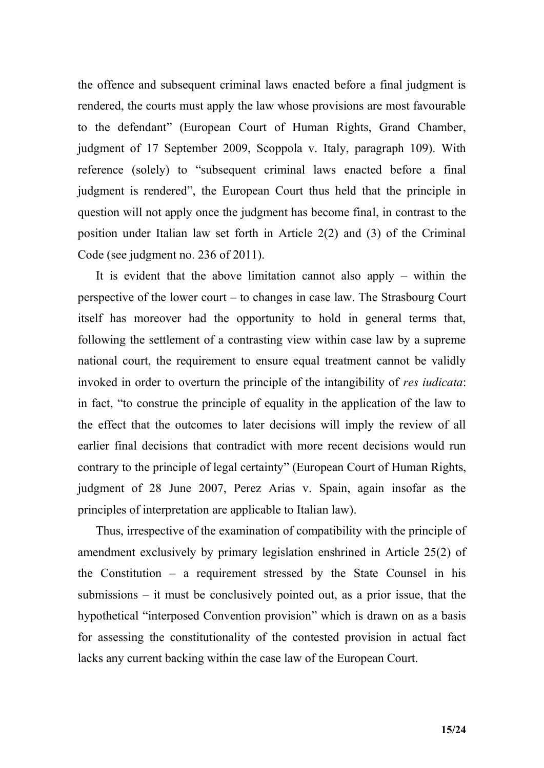the offence and subsequent criminal laws enacted before a final judgment is rendered, the courts must apply the law whose provisions are most favourable to the defendant" (European Court of Human Rights, Grand Chamber, judgment of 17 September 2009, Scoppola v. Italy, paragraph 109). With reference (solely) to "subsequent criminal laws enacted before a final judgment is rendered", the European Court thus held that the principle in question will not apply once the judgment has become final, in contrast to the position under Italian law set forth in Article 2(2) and (3) of the Criminal Code (see judgment no. 236 of 2011).

It is evident that the above limitation cannot also apply – within the perspective of the lower court – to changes in case law. The Strasbourg Court itself has moreover had the opportunity to hold in general terms that, following the settlement of a contrasting view within case law by a supreme national court, the requirement to ensure equal treatment cannot be validly invoked in order to overturn the principle of the intangibility of *res iudicata*: in fact, "to construe the principle of equality in the application of the law to the effect that the outcomes to later decisions will imply the review of all earlier final decisions that contradict with more recent decisions would run contrary to the principle of legal certainty" (European Court of Human Rights, judgment of 28 June 2007, Perez Arias v. Spain, again insofar as the principles of interpretation are applicable to Italian law).

Thus, irrespective of the examination of compatibility with the principle of amendment exclusively by primary legislation enshrined in Article 25(2) of the Constitution – a requirement stressed by the State Counsel in his submissions – it must be conclusively pointed out, as a prior issue, that the hypothetical "interposed Convention provision" which is drawn on as a basis for assessing the constitutionality of the contested provision in actual fact lacks any current backing within the case law of the European Court.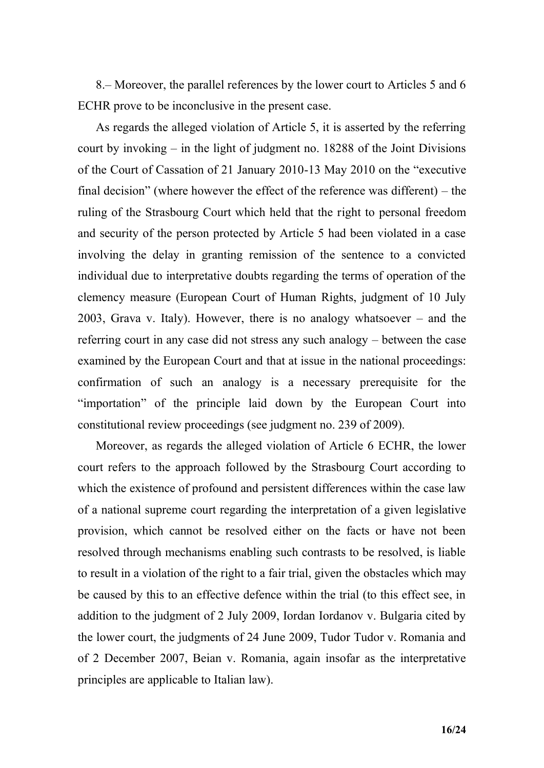8.– Moreover, the parallel references by the lower court to Articles 5 and 6 ECHR prove to be inconclusive in the present case.

As regards the alleged violation of Article 5, it is asserted by the referring court by invoking – in the light of judgment no. 18288 of the Joint Divisions of the Court of Cassation of 21 January 2010-13 May 2010 on the "executive final decision" (where however the effect of the reference was different) – the ruling of the Strasbourg Court which held that the right to personal freedom and security of the person protected by Article 5 had been violated in a case involving the delay in granting remission of the sentence to a convicted individual due to interpretative doubts regarding the terms of operation of the clemency measure (European Court of Human Rights, judgment of 10 July 2003, Grava v. Italy). However, there is no analogy whatsoever – and the referring court in any case did not stress any such analogy – between the case examined by the European Court and that at issue in the national proceedings: confirmation of such an analogy is a necessary prerequisite for the "importation" of the principle laid down by the European Court into constitutional review proceedings (see judgment no. 239 of 2009).

Moreover, as regards the alleged violation of Article 6 ECHR, the lower court refers to the approach followed by the Strasbourg Court according to which the existence of profound and persistent differences within the case law of a national supreme court regarding the interpretation of a given legislative provision, which cannot be resolved either on the facts or have not been resolved through mechanisms enabling such contrasts to be resolved, is liable to result in a violation of the right to a fair trial, given the obstacles which may be caused by this to an effective defence within the trial (to this effect see, in addition to the judgment of 2 July 2009, Iordan Iordanov v. Bulgaria cited by the lower court, the judgments of 24 June 2009, Tudor Tudor v. Romania and of 2 December 2007, Beian v. Romania, again insofar as the interpretative principles are applicable to Italian law).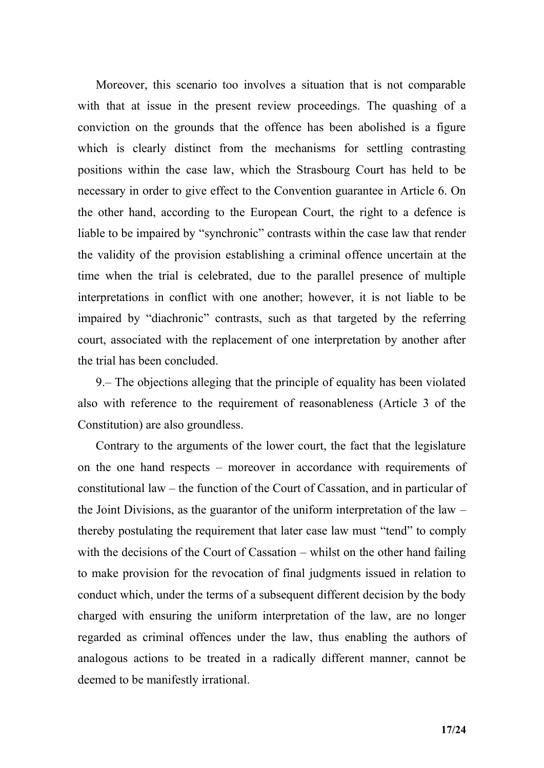Moreover, this scenario too involves a situation that is not comparable with that at issue in the present review proceedings. The quashing of a conviction on the grounds that the offence has been abolished is a figure which is clearly distinct from the mechanisms for settling contrasting positions within the case law, which the Strasbourg Court has held to be necessary in order to give effect to the Convention guarantee in Article 6. On the other hand, according to the European Court, the right to a defence is liable to be impaired by "synchronic" contrasts within the case law that render the validity of the provision establishing a criminal offence uncertain at the time when the trial is celebrated, due to the parallel presence of multiple interpretations in conflict with one another; however, it is not liable to be impaired by "diachronic" contrasts, such as that targeted by the referring court, associated with the replacement of one interpretation by another after the trial has been concluded.

9.– The objections alleging that the principle of equality has been violated also with reference to the requirement of reasonableness (Article 3 of the Constitution) are also groundless.

Contrary to the arguments of the lower court, the fact that the legislature on the one hand respects – moreover in accordance with requirements of constitutional law – the function of the Court of Cassation, and in particular of the Joint Divisions, as the guarantor of the uniform interpretation of the law – thereby postulating the requirement that later case law must "tend" to comply with the decisions of the Court of Cassation – whilst on the other hand failing to make provision for the revocation of final judgments issued in relation to conduct which, under the terms of a subsequent different decision by the body charged with ensuring the uniform interpretation of the law, are no longer regarded as criminal offences under the law, thus enabling the authors of analogous actions to be treated in a radically different manner, cannot be deemed to be manifestly irrational.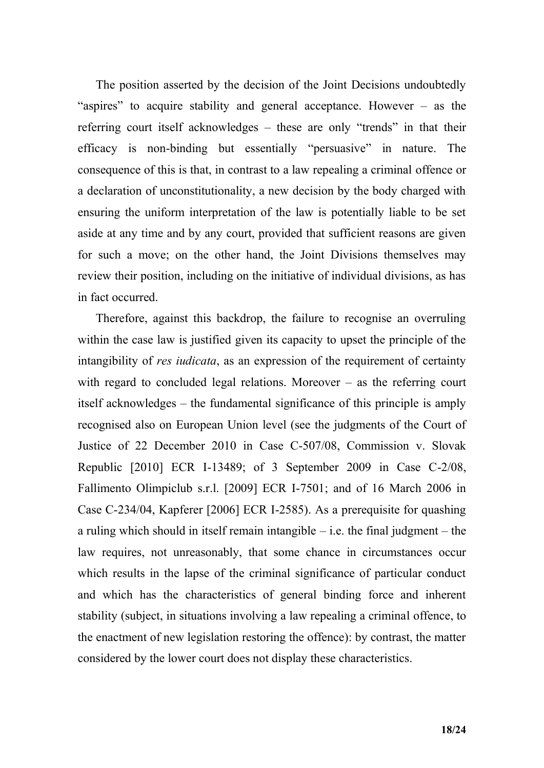The position asserted by the decision of the Joint Decisions undoubtedly "aspires" to acquire stability and general acceptance. However – as the referring court itself acknowledges – these are only "trends" in that their efficacy is non-binding but essentially "persuasive" in nature. The consequence of this is that, in contrast to a law repealing a criminal offence or a declaration of unconstitutionality, a new decision by the body charged with ensuring the uniform interpretation of the law is potentially liable to be set aside at any time and by any court, provided that sufficient reasons are given for such a move; on the other hand, the Joint Divisions themselves may review their position, including on the initiative of individual divisions, as has in fact occurred.

Therefore, against this backdrop, the failure to recognise an overruling within the case law is justified given its capacity to upset the principle of the intangibility of *res iudicata*, as an expression of the requirement of certainty with regard to concluded legal relations. Moreover – as the referring court itself acknowledges – the fundamental significance of this principle is amply recognised also on European Union level (see the judgments of the Court of Justice of 22 December 2010 in Case C-507/08, Commission v. Slovak Republic [2010] ECR I-13489; of 3 September 2009 in Case C-2/08, Fallimento Olimpiclub s.r.l. [2009] ECR I-7501; and of 16 March 2006 in Case C-234/04, Kapferer [2006] ECR I-2585). As a prerequisite for quashing a ruling which should in itself remain intangible – i.e. the final judgment – the law requires, not unreasonably, that some chance in circumstances occur which results in the lapse of the criminal significance of particular conduct and which has the characteristics of general binding force and inherent stability (subject, in situations involving a law repealing a criminal offence, to the enactment of new legislation restoring the offence): by contrast, the matter considered by the lower court does not display these characteristics.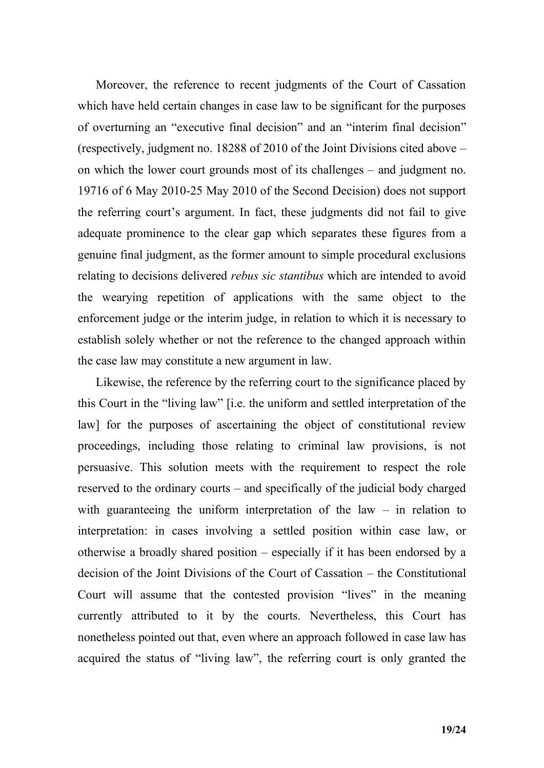Moreover, the reference to recent judgments of the Court of Cassation which have held certain changes in case law to be significant for the purposes of overturning an "executive final decision" and an "interim final decision" (respectively, judgment no. 18288 of 2010 of the Joint Divisions cited above – on which the lower court grounds most of its challenges – and judgment no. 19716 of 6 May 2010-25 May 2010 of the Second Decision) does not support the referring court"s argument. In fact, these judgments did not fail to give adequate prominence to the clear gap which separates these figures from a genuine final judgment, as the former amount to simple procedural exclusions relating to decisions delivered *rebus sic stantibus* which are intended to avoid the wearying repetition of applications with the same object to the enforcement judge or the interim judge, in relation to which it is necessary to establish solely whether or not the reference to the changed approach within the case law may constitute a new argument in law.

Likewise, the reference by the referring court to the significance placed by this Court in the "living law" [i.e. the uniform and settled interpretation of the law] for the purposes of ascertaining the object of constitutional review proceedings, including those relating to criminal law provisions, is not persuasive. This solution meets with the requirement to respect the role reserved to the ordinary courts – and specifically of the judicial body charged with guaranteeing the uniform interpretation of the law  $-$  in relation to interpretation: in cases involving a settled position within case law, or otherwise a broadly shared position – especially if it has been endorsed by a decision of the Joint Divisions of the Court of Cassation – the Constitutional Court will assume that the contested provision "lives" in the meaning currently attributed to it by the courts. Nevertheless, this Court has nonetheless pointed out that, even where an approach followed in case law has acquired the status of "living law", the referring court is only granted the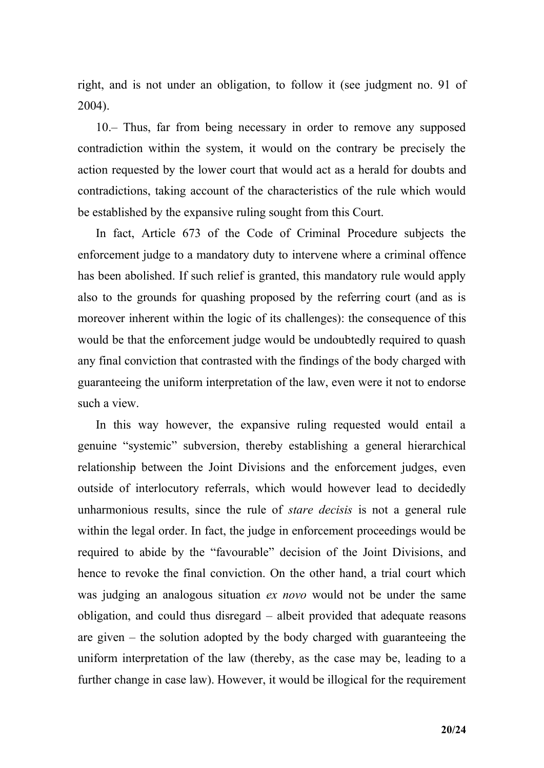right, and is not under an obligation, to follow it (see judgment no. 91 of 2004).

10.– Thus, far from being necessary in order to remove any supposed contradiction within the system, it would on the contrary be precisely the action requested by the lower court that would act as a herald for doubts and contradictions, taking account of the characteristics of the rule which would be established by the expansive ruling sought from this Court.

In fact, Article 673 of the Code of Criminal Procedure subjects the enforcement judge to a mandatory duty to intervene where a criminal offence has been abolished. If such relief is granted, this mandatory rule would apply also to the grounds for quashing proposed by the referring court (and as is moreover inherent within the logic of its challenges): the consequence of this would be that the enforcement judge would be undoubtedly required to quash any final conviction that contrasted with the findings of the body charged with guaranteeing the uniform interpretation of the law, even were it not to endorse such a view.

In this way however, the expansive ruling requested would entail a genuine "systemic" subversion, thereby establishing a general hierarchical relationship between the Joint Divisions and the enforcement judges, even outside of interlocutory referrals, which would however lead to decidedly unharmonious results, since the rule of *stare decisis* is not a general rule within the legal order. In fact, the judge in enforcement proceedings would be required to abide by the "favourable" decision of the Joint Divisions, and hence to revoke the final conviction. On the other hand, a trial court which was judging an analogous situation *ex novo* would not be under the same obligation, and could thus disregard – albeit provided that adequate reasons are given – the solution adopted by the body charged with guaranteeing the uniform interpretation of the law (thereby, as the case may be, leading to a further change in case law). However, it would be illogical for the requirement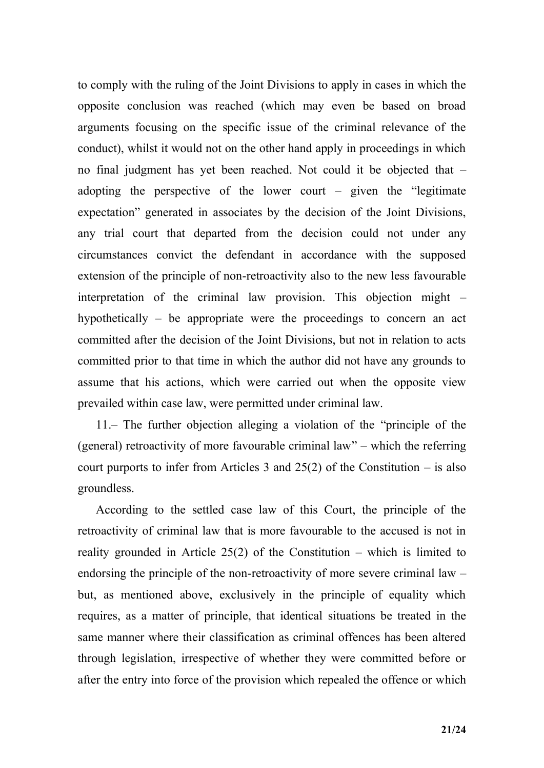to comply with the ruling of the Joint Divisions to apply in cases in which the opposite conclusion was reached (which may even be based on broad arguments focusing on the specific issue of the criminal relevance of the conduct), whilst it would not on the other hand apply in proceedings in which no final judgment has yet been reached. Not could it be objected that – adopting the perspective of the lower court – given the "legitimate expectation" generated in associates by the decision of the Joint Divisions, any trial court that departed from the decision could not under any circumstances convict the defendant in accordance with the supposed extension of the principle of non-retroactivity also to the new less favourable interpretation of the criminal law provision. This objection might – hypothetically – be appropriate were the proceedings to concern an act committed after the decision of the Joint Divisions, but not in relation to acts committed prior to that time in which the author did not have any grounds to assume that his actions, which were carried out when the opposite view prevailed within case law, were permitted under criminal law.

11.– The further objection alleging a violation of the "principle of the (general) retroactivity of more favourable criminal law" – which the referring court purports to infer from Articles 3 and  $25(2)$  of the Constitution – is also groundless.

According to the settled case law of this Court, the principle of the retroactivity of criminal law that is more favourable to the accused is not in reality grounded in Article  $25(2)$  of the Constitution – which is limited to endorsing the principle of the non-retroactivity of more severe criminal law – but, as mentioned above, exclusively in the principle of equality which requires, as a matter of principle, that identical situations be treated in the same manner where their classification as criminal offences has been altered through legislation, irrespective of whether they were committed before or after the entry into force of the provision which repealed the offence or which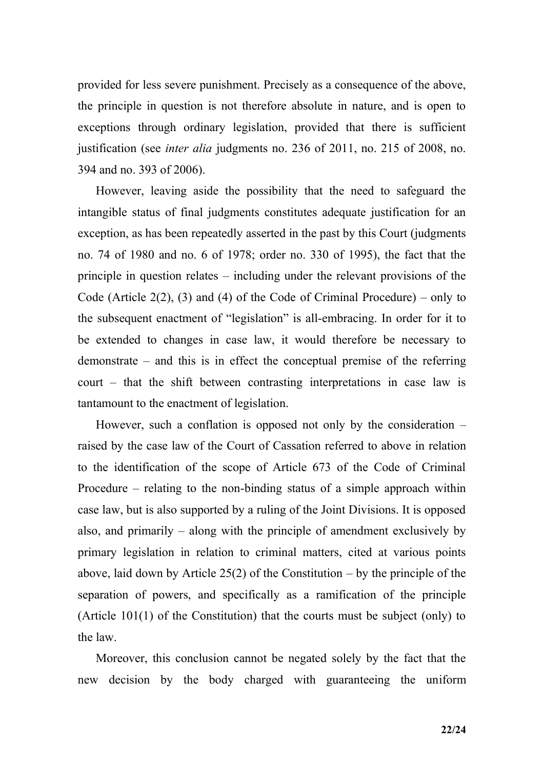provided for less severe punishment. Precisely as a consequence of the above, the principle in question is not therefore absolute in nature, and is open to exceptions through ordinary legislation, provided that there is sufficient justification (see *inter alia* judgments no. 236 of 2011, no. 215 of 2008, no. 394 and no. 393 of 2006).

However, leaving aside the possibility that the need to safeguard the intangible status of final judgments constitutes adequate justification for an exception, as has been repeatedly asserted in the past by this Court (judgments no. 74 of 1980 and no. 6 of 1978; order no. 330 of 1995), the fact that the principle in question relates – including under the relevant provisions of the Code (Article  $2(2)$ , (3) and (4) of the Code of Criminal Procedure) – only to the subsequent enactment of "legislation" is all-embracing. In order for it to be extended to changes in case law, it would therefore be necessary to demonstrate – and this is in effect the conceptual premise of the referring court – that the shift between contrasting interpretations in case law is tantamount to the enactment of legislation.

However, such a conflation is opposed not only by the consideration – raised by the case law of the Court of Cassation referred to above in relation to the identification of the scope of Article 673 of the Code of Criminal Procedure – relating to the non-binding status of a simple approach within case law, but is also supported by a ruling of the Joint Divisions. It is opposed also, and primarily – along with the principle of amendment exclusively by primary legislation in relation to criminal matters, cited at various points above, laid down by Article 25(2) of the Constitution – by the principle of the separation of powers, and specifically as a ramification of the principle (Article 101(1) of the Constitution) that the courts must be subject (only) to the law.

Moreover, this conclusion cannot be negated solely by the fact that the new decision by the body charged with guaranteeing the uniform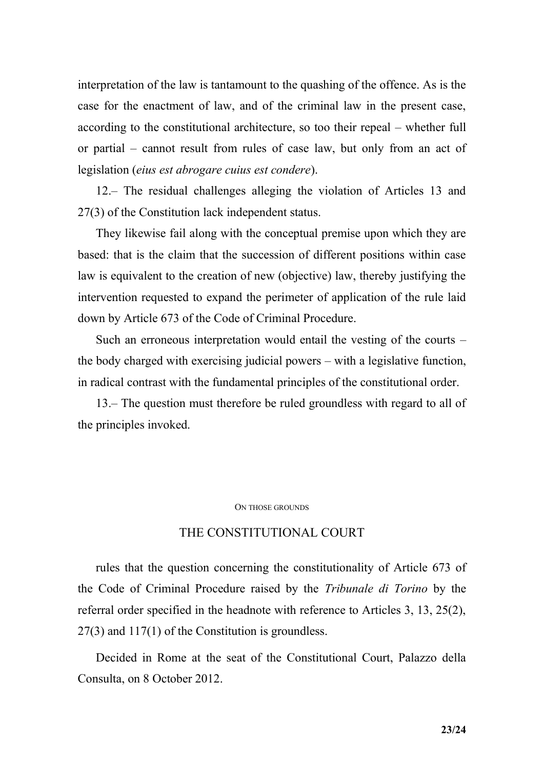interpretation of the law is tantamount to the quashing of the offence. As is the case for the enactment of law, and of the criminal law in the present case, according to the constitutional architecture, so too their repeal – whether full or partial – cannot result from rules of case law, but only from an act of legislation (*eius est abrogare cuius est condere*).

12.– The residual challenges alleging the violation of Articles 13 and 27(3) of the Constitution lack independent status.

They likewise fail along with the conceptual premise upon which they are based: that is the claim that the succession of different positions within case law is equivalent to the creation of new (objective) law, thereby justifying the intervention requested to expand the perimeter of application of the rule laid down by Article 673 of the Code of Criminal Procedure.

Such an erroneous interpretation would entail the vesting of the courts – the body charged with exercising judicial powers – with a legislative function, in radical contrast with the fundamental principles of the constitutional order.

13.– The question must therefore be ruled groundless with regard to all of the principles invoked.

#### ON THOSE GROUNDS

### THE CONSTITUTIONAL COURT

rules that the question concerning the constitutionality of Article 673 of the Code of Criminal Procedure raised by the *Tribunale di Torino* by the referral order specified in the headnote with reference to Articles 3, 13, 25(2), 27(3) and 117(1) of the Constitution is groundless.

Decided in Rome at the seat of the Constitutional Court, Palazzo della Consulta, on 8 October 2012.